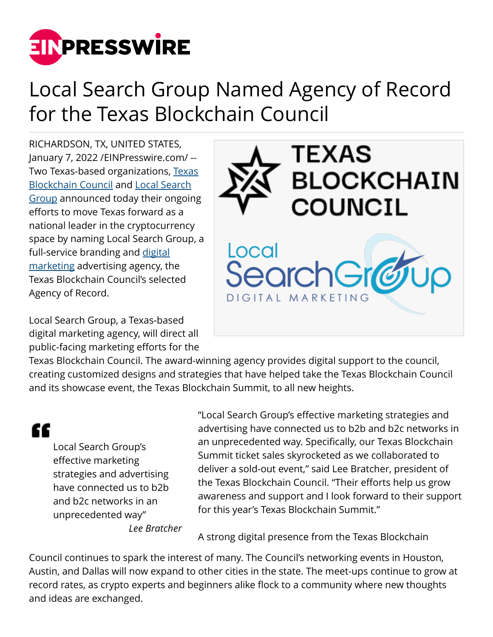

## Local Search Group Named Agency of Record for the Texas Blockchain Council

RICHARDSON, TX, UNITED STATES, January 7, 2022 [/EINPresswire.com](http://www.einpresswire.com)/ -- Two [Texas](https://texasblockchaincouncil.org/)-based organizations, Texas [Blockchain Council](https://texasblockchaincouncil.org/) and [Local Search](https://www.localsearchgroup.com/) [Group](https://www.localsearchgroup.com/) announced today their ongoing efforts to move Texas forward as a national leader in the cryptocurrency space by naming Local Search Group, a full-service branding and [digital](https://www.localsearchgroup.com/service/digital-marketing/) [marketing](https://www.localsearchgroup.com/service/digital-marketing/) advertising agency, the Texas Blockchain Council's selected Agency of Record.

Local Search Group, a Texas-based digital marketing agency, will direct all public-facing marketing efforts for the



Texas Blockchain Council. The award-winning agency provides digital support to the council, creating customized designs and strategies that have helped take the Texas Blockchain Council and its showcase event, the Texas Blockchain Summit, to all new heights.

ſſ

Local Search Group's effective marketing strategies and advertising have connected us to b2b and b2c networks in an unprecedented way"

"Local Search Group's effective marketing strategies and advertising have connected us to b2b and b2c networks in an unprecedented way. Specifically, our Texas Blockchain Summit ticket sales skyrocketed as we collaborated to deliver a sold-out event," said Lee Bratcher, president of the Texas Blockchain Council. "Their efforts help us grow awareness and support and I look forward to their support for this year's Texas Blockchain Summit."

*Lee Bratcher*

A strong digital presence from the Texas Blockchain

Council continues to spark the interest of many. The Council's networking events in Houston, Austin, and Dallas will now expand to other cities in the state. The meet-ups continue to grow at record rates, as crypto experts and beginners alike flock to a community where new thoughts and ideas are exchanged.